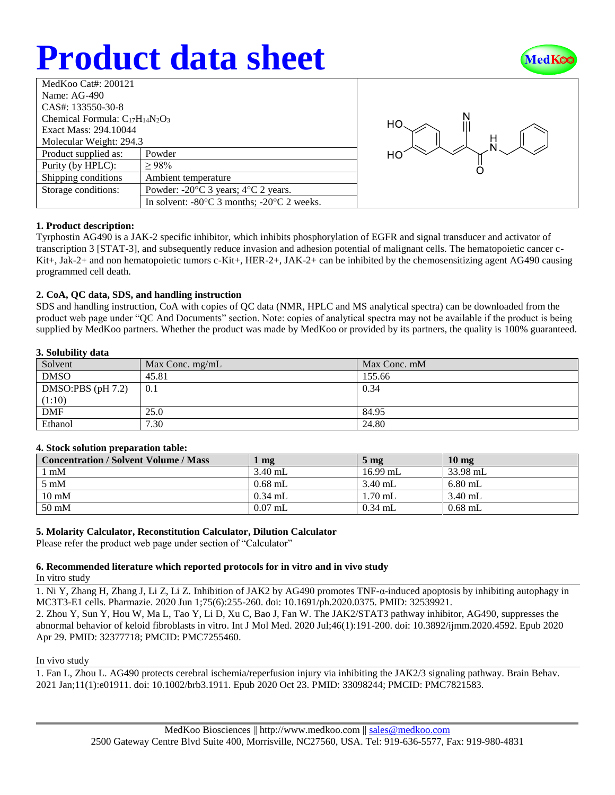# **Product data sheet**



| MedKoo Cat#: 200121                    |                                                                |  |  |  |
|----------------------------------------|----------------------------------------------------------------|--|--|--|
| Name: $AG-490$                         |                                                                |  |  |  |
| CAS#: 133550-30-8                      |                                                                |  |  |  |
| Chemical Formula: $C_{17}H_{14}N_2O_3$ |                                                                |  |  |  |
| Exact Mass: 294.10044                  |                                                                |  |  |  |
| Molecular Weight: 294.3                |                                                                |  |  |  |
| Product supplied as:                   | Powder                                                         |  |  |  |
| Purity (by HPLC):                      | >98%                                                           |  |  |  |
| Shipping conditions                    | Ambient temperature                                            |  |  |  |
| Storage conditions:                    | Powder: $-20^{\circ}$ C 3 years; $4^{\circ}$ C 2 years.        |  |  |  |
|                                        | In solvent: $-80^{\circ}$ C 3 months; $-20^{\circ}$ C 2 weeks. |  |  |  |



## **1. Product description:**

Tyrphostin AG490 is a JAK-2 specific inhibitor, which inhibits phosphorylation of EGFR and signal transducer and activator of transcription 3 [STAT-3], and subsequently reduce invasion and adhesion potential of malignant cells. The hematopoietic cancer c-Kit+, Jak-2+ and non hematopoietic tumors c-Kit+, HER-2+, JAK-2+ can be inhibited by the chemosensitizing agent AG490 causing programmed cell death.

## **2. CoA, QC data, SDS, and handling instruction**

SDS and handling instruction, CoA with copies of QC data (NMR, HPLC and MS analytical spectra) can be downloaded from the product web page under "QC And Documents" section. Note: copies of analytical spectra may not be available if the product is being supplied by MedKoo partners. Whether the product was made by MedKoo or provided by its partners, the quality is 100% guaranteed.

## **3. Solubility data**

| Solvent             | Max Conc. $mg/mL$ | Max Conc. mM |
|---------------------|-------------------|--------------|
| <b>DMSO</b>         | 45.81             | 155.66       |
| DMSO:PBS $(pH 7.2)$ | 0.1               | 0.34         |
| (1:10)              |                   |              |
| <b>DMF</b>          | 25.0              | 84.95        |
| Ethanol             | 7.30              | 24.80        |

## **4. Stock solution preparation table:**

| <b>Concentration / Solvent Volume / Mass</b> | mg        | $5 \text{ mg}$ | 10 <sub>mg</sub> |
|----------------------------------------------|-----------|----------------|------------------|
| l mM                                         | $3.40$ mL | $16.99$ mL     | 33.98 mL         |
| $5 \text{ mM}$                               | $0.68$ mL | $3.40$ mL      | $6.80$ mL        |
| $10 \text{ mM}$                              | $0.34$ mL | $1.70$ mL      | $3.40$ mL        |
| $50 \text{ mM}$                              | $0.07$ mL | $0.34$ mL      | $0.68$ mL        |

## **5. Molarity Calculator, Reconstitution Calculator, Dilution Calculator**

Please refer the product web page under section of "Calculator"

## **6. Recommended literature which reported protocols for in vitro and in vivo study**

In vitro study

1. Ni Y, Zhang H, Zhang J, Li Z, Li Z. Inhibition of JAK2 by AG490 promotes TNF-α-induced apoptosis by inhibiting autophagy in MC3T3-E1 cells. Pharmazie. 2020 Jun 1;75(6):255-260. doi: 10.1691/ph.2020.0375. PMID: 32539921. 2. Zhou Y, Sun Y, Hou W, Ma L, Tao Y, Li D, Xu C, Bao J, Fan W. The JAK2/STAT3 pathway inhibitor, AG490, suppresses the

abnormal behavior of keloid fibroblasts in vitro. Int J Mol Med. 2020 Jul;46(1):191-200. doi: 10.3892/ijmm.2020.4592. Epub 2020 Apr 29. PMID: 32377718; PMCID: PMC7255460.

## In vivo study

1. Fan L, Zhou L. AG490 protects cerebral ischemia/reperfusion injury via inhibiting the JAK2/3 signaling pathway. Brain Behav. 2021 Jan;11(1):e01911. doi: 10.1002/brb3.1911. Epub 2020 Oct 23. PMID: 33098244; PMCID: PMC7821583.